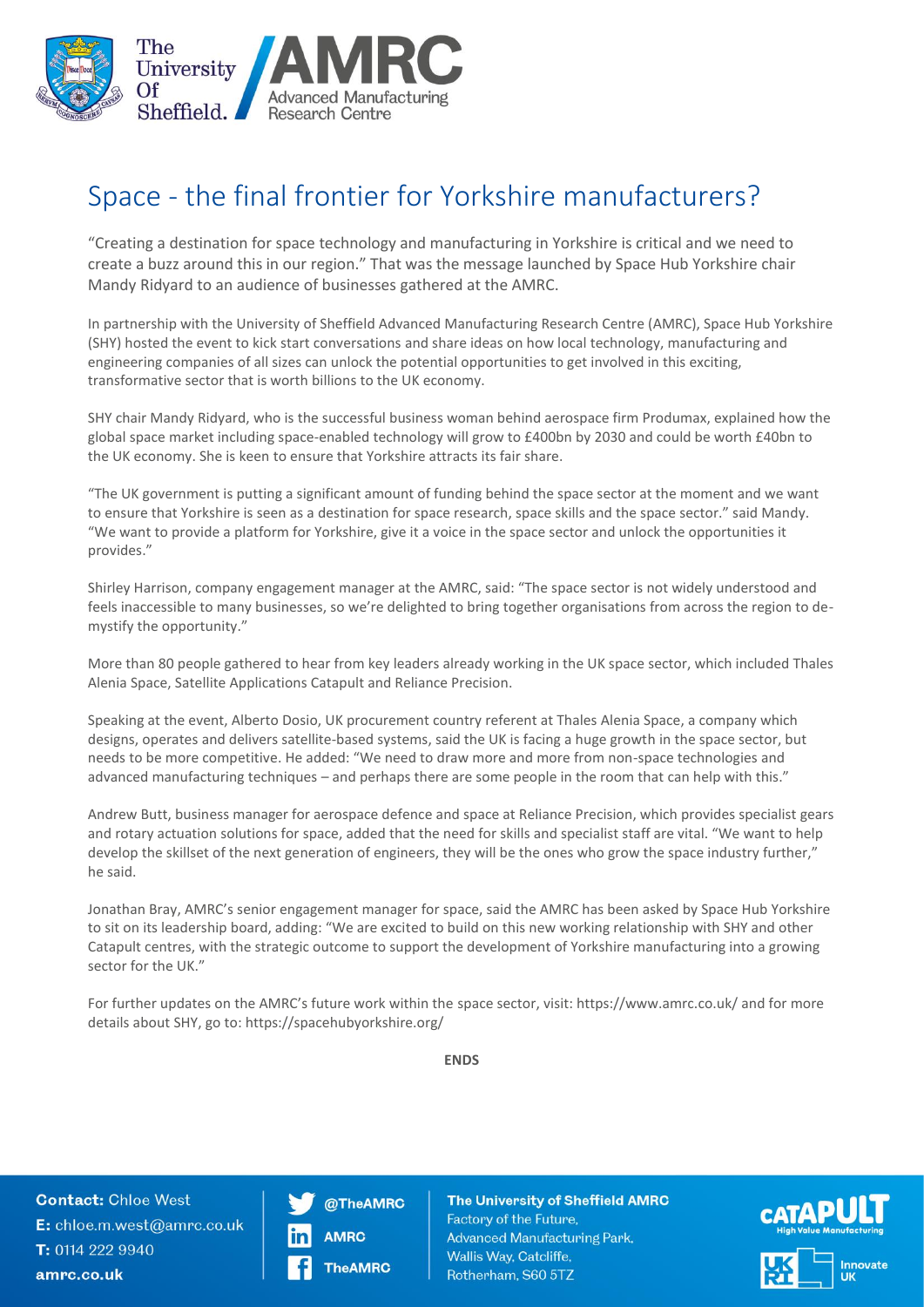

# Space - the final frontier for Yorkshire manufacturers?

"Creating a destination for space technology and manufacturing in Yorkshire is critical and we need to create a buzz around this in our region." That was the message launched by Space Hub Yorkshire chair Mandy Ridyard to an audience of businesses gathered at the AMRC.

In partnership with the University of Sheffield Advanced Manufacturing Research Centre (AMRC), Space Hub Yorkshire (SHY) hosted the event to kick start conversations and share ideas on how local technology, manufacturing and engineering companies of all sizes can unlock the potential opportunities to get involved in this exciting, transformative sector that is worth billions to the UK economy.

SHY chair Mandy Ridyard, who is the successful business woman behind aerospace firm Produmax, explained how the global space market including space-enabled technology will grow to £400bn by 2030 and could be worth £40bn to the UK economy. She is keen to ensure that Yorkshire attracts its fair share.

"The UK government is putting a significant amount of funding behind the space sector at the moment and we want to ensure that Yorkshire is seen as a destination for space research, space skills and the space sector." said Mandy. "We want to provide a platform for Yorkshire, give it a voice in the space sector and unlock the opportunities it provides."

Shirley Harrison, company engagement manager at the AMRC, said: "The space sector is not widely understood and feels inaccessible to many businesses, so we're delighted to bring together organisations from across the region to demystify the opportunity."

More than 80 people gathered to hear from key leaders already working in the UK space sector, which included Thales Alenia Space, Satellite Applications Catapult and Reliance Precision.

Speaking at the event, Alberto Dosio, UK procurement country referent at Thales Alenia Space, a company which designs, operates and delivers satellite-based systems, said the UK is facing a huge growth in the space sector, but needs to be more competitive. He added: "We need to draw more and more from non-space technologies and advanced manufacturing techniques – and perhaps there are some people in the room that can help with this."

Andrew Butt, business manager for aerospace defence and space at Reliance Precision, which provides specialist gears and rotary actuation solutions for space, added that the need for skills and specialist staff are vital. "We want to help develop the skillset of the next generation of engineers, they will be the ones who grow the space industry further," he said.

Jonathan Bray, AMRC's senior engagement manager for space, said the AMRC has been asked by Space Hub Yorkshire to sit on its leadership board, adding: "We are excited to build on this new working relationship with SHY and other Catapult centres, with the strategic outcome to support the development of Yorkshire manufacturing into a growing sector for the UK."

For further updates on the AMRC's future work within the space sector, visit: https://www.amrc.co.uk/ and for more details about SHY, go to: https://spacehubyorkshire.org/

**ENDS**

**Contact: Chloe West** E: chloe.m.west@amrc.co.uk T: 0114 222 9940 amrc.co.uk



The University of Sheffield AMRC Factory of the Future, **Advanced Manufacturing Park,** Wallis Way, Catcliffe, Rotherham, S60 5TZ